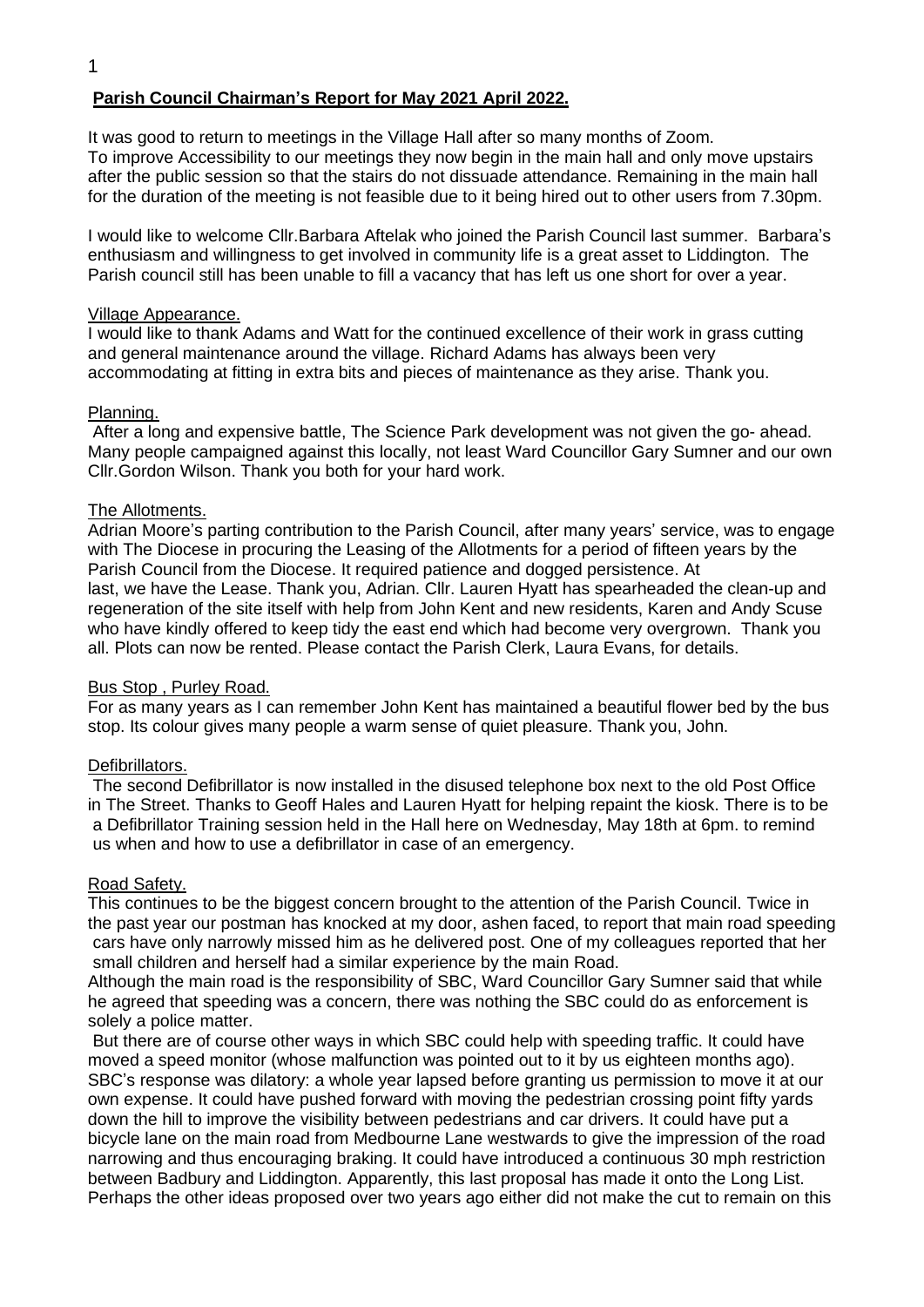It was good to return to meetings in the Village Hall after so many months of Zoom. To improve Accessibility to our meetings they now begin in the main hall and only move upstairs after the public session so that the stairs do not dissuade attendance. Remaining in the main hall for the duration of the meeting is not feasible due to it being hired out to other users from 7.30pm.

I would like to welcome Cllr.Barbara Aftelak who joined the Parish Council last summer. Barbara's enthusiasm and willingness to get involved in community life is a great asset to Liddington. The Parish council still has been unable to fill a vacancy that has left us one short for over a year.

### Village Appearance.

I would like to thank Adams and Watt for the continued excellence of their work in grass cutting and general maintenance around the village. Richard Adams has always been very accommodating at fitting in extra bits and pieces of maintenance as they arise. Thank you.

#### Planning.

After a long and expensive battle, The Science Park development was not given the go- ahead. Many people campaigned against this locally, not least Ward Councillor Gary Sumner and our own Cllr.Gordon Wilson. Thank you both for your hard work.

# The Allotments.

Adrian Moore's parting contribution to the Parish Council, after many years' service, was to engage with The Diocese in procuring the Leasing of the Allotments for a period of fifteen years by the Parish Council from the Diocese. It required patience and dogged persistence. At last, we have the Lease. Thank you, Adrian. Cllr. Lauren Hyatt has spearheaded the clean-up and regeneration of the site itself with help from John Kent and new residents, Karen and Andy Scuse who have kindly offered to keep tidy the east end which had become very overgrown. Thank you all. Plots can now be rented. Please contact the Parish Clerk, Laura Evans, for details.

# Bus Stop , Purley Road.

For as many years as I can remember John Kent has maintained a beautiful flower bed by the bus stop. Its colour gives many people a warm sense of quiet pleasure. Thank you, John.

# Defibrillators.

The second Defibrillator is now installed in the disused telephone box next to the old Post Office in The Street. Thanks to Geoff Hales and Lauren Hyatt for helping repaint the kiosk. There is to be a Defibrillator Training session held in the Hall here on Wednesday, May 18th at 6pm. to remind us when and how to use a defibrillator in case of an emergency.

# Road Safety.

This continues to be the biggest concern brought to the attention of the Parish Council. Twice in the past year our postman has knocked at my door, ashen faced, to report that main road speeding cars have only narrowly missed him as he delivered post. One of my colleagues reported that her small children and herself had a similar experience by the main Road.

Although the main road is the responsibility of SBC, Ward Councillor Gary Sumner said that while he agreed that speeding was a concern, there was nothing the SBC could do as enforcement is solely a police matter.

But there are of course other ways in which SBC could help with speeding traffic. It could have moved a speed monitor (whose malfunction was pointed out to it by us eighteen months ago). SBC's response was dilatory: a whole year lapsed before granting us permission to move it at our own expense. It could have pushed forward with moving the pedestrian crossing point fifty yards down the hill to improve the visibility between pedestrians and car drivers. It could have put a bicycle lane on the main road from Medbourne Lane westwards to give the impression of the road narrowing and thus encouraging braking. It could have introduced a continuous 30 mph restriction between Badbury and Liddington. Apparently, this last proposal has made it onto the Long List. Perhaps the other ideas proposed over two years ago either did not make the cut to remain on this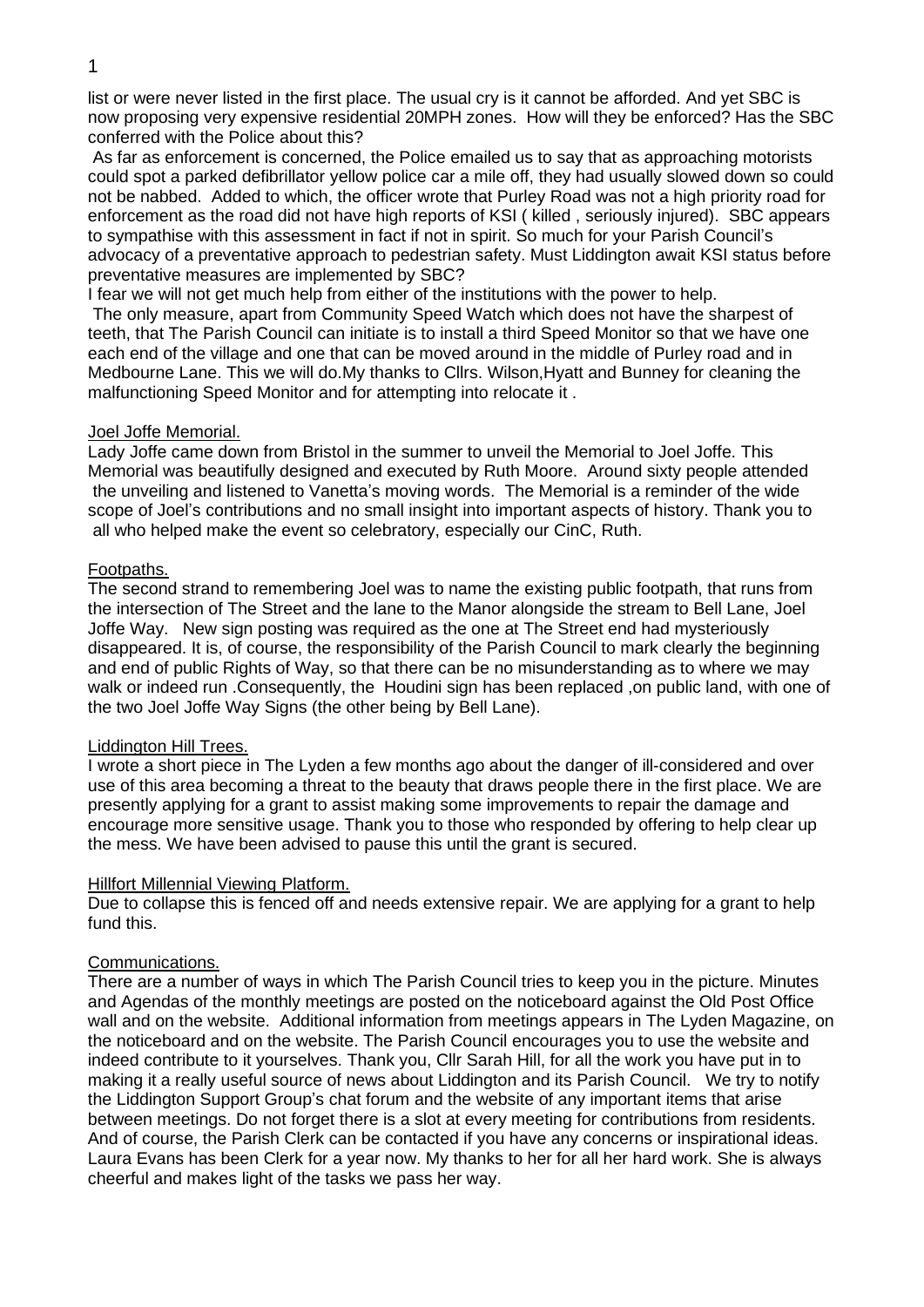1

list or were never listed in the first place. The usual cry is it cannot be afforded. And yet SBC is now proposing very expensive residential 20MPH zones. How will they be enforced? Has the SBC conferred with the Police about this?

As far as enforcement is concerned, the Police emailed us to say that as approaching motorists could spot a parked defibrillator yellow police car a mile off, they had usually slowed down so could not be nabbed. Added to which, the officer wrote that Purley Road was not a high priority road for enforcement as the road did not have high reports of KSI ( killed , seriously injured). SBC appears to sympathise with this assessment in fact if not in spirit. So much for your Parish Council's advocacy of a preventative approach to pedestrian safety. Must Liddington await KSI status before preventative measures are implemented by SBC?

I fear we will not get much help from either of the institutions with the power to help.

The only measure, apart from Community Speed Watch which does not have the sharpest of teeth, that The Parish Council can initiate is to install a third Speed Monitor so that we have one each end of the village and one that can be moved around in the middle of Purley road and in Medbourne Lane. This we will do.My thanks to Cllrs. Wilson,Hyatt and Bunney for cleaning the malfunctioning Speed Monitor and for attempting into relocate it .

#### Joel Joffe Memorial.

Lady Joffe came down from Bristol in the summer to unveil the Memorial to Joel Joffe. This Memorial was beautifully designed and executed by Ruth Moore. Around sixty people attended the unveiling and listened to Vanetta's moving words. The Memorial is a reminder of the wide scope of Joel's contributions and no small insight into important aspects of history. Thank you to all who helped make the event so celebratory, especially our CinC, Ruth.

# Footpaths.

The second strand to remembering Joel was to name the existing public footpath, that runs from the intersection of The Street and the lane to the Manor alongside the stream to Bell Lane, Joel Joffe Way. New sign posting was required as the one at The Street end had mysteriously disappeared. It is, of course, the responsibility of the Parish Council to mark clearly the beginning and end of public Rights of Way, so that there can be no misunderstanding as to where we may walk or indeed run .Consequently, the Houdini sign has been replaced ,on public land, with one of the two Joel Joffe Way Signs (the other being by Bell Lane).

#### Liddington Hill Trees.

I wrote a short piece in The Lyden a few months ago about the danger of ill-considered and over use of this area becoming a threat to the beauty that draws people there in the first place. We are presently applying for a grant to assist making some improvements to repair the damage and encourage more sensitive usage. Thank you to those who responded by offering to help clear up the mess. We have been advised to pause this until the grant is secured.

#### Hillfort Millennial Viewing Platform.

Due to collapse this is fenced off and needs extensive repair. We are applying for a grant to help fund this.

#### Communications.

There are a number of ways in which The Parish Council tries to keep you in the picture. Minutes and Agendas of the monthly meetings are posted on the noticeboard against the Old Post Office wall and on the website. Additional information from meetings appears in The Lyden Magazine, on the noticeboard and on the website. The Parish Council encourages you to use the website and indeed contribute to it yourselves. Thank you, Cllr Sarah Hill, for all the work you have put in to making it a really useful source of news about Liddington and its Parish Council. We try to notify the Liddington Support Group's chat forum and the website of any important items that arise between meetings. Do not forget there is a slot at every meeting for contributions from residents. And of course, the Parish Clerk can be contacted if you have any concerns or inspirational ideas. Laura Evans has been Clerk for a year now. My thanks to her for all her hard work. She is always cheerful and makes light of the tasks we pass her way.